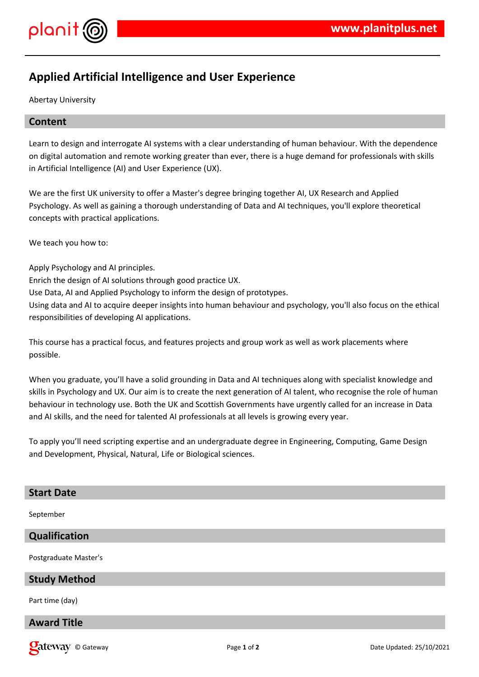

# **Applied Artificial Intelligence and User Experience**

Abertay University

## **Content**

Learn to design and interrogate AI systems with a clear understanding of human behaviour. With the dependence on digital automation and remote working greater than ever, there is a huge demand for professionals with skills in Artificial Intelligence (AI) and User Experience (UX).

We are the first UK university to offer a Master's degree bringing together AI, UX Research and Applied Psychology. As well as gaining a thorough understanding of Data and AI techniques, you'll explore theoretical concepts with practical applications.

We teach you how to:

Apply Psychology and AI principles.

Enrich the design of AI solutions through good practice UX.

Use Data, AI and Applied Psychology to inform the design of prototypes.

Using data and AI to acquire deeper insights into human behaviour and psychology, you'll also focus on the ethical responsibilities of developing AI applications.

This course has a practical focus, and features projects and group work as well as work placements where possible.

When you graduate, you'll have a solid grounding in Data and AI techniques along with specialist knowledge and skills in Psychology and UX. Our aim is to create the next generation of AI talent, who recognise the role of human behaviour in technology use. Both the UK and Scottish Governments have urgently called for an increase in Data and AI skills, and the need for talented AI professionals at all levels is growing every year.

To apply you'll need scripting expertise and an undergraduate degree in Engineering, Computing, Game Design and Development, Physical, Natural, Life or Biological sciences.

## **Start Date**

September

## **Qualification**

Postgraduate Master's

#### **Study Method**

Part time (day)

## **Award Title**

**Call 2008 Page 1** of **2 Date Updated: 25/10/2021 Date Updated: 25/10/2021**